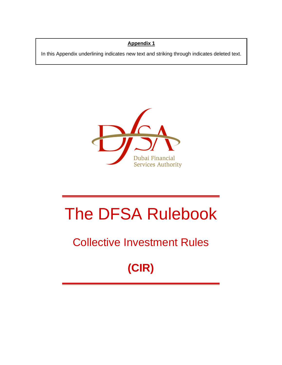## **Appendix 1**

In this Appendix underlining indicates new text and striking through indicates deleted text.



# The DFSA Rulebook

## Collective Investment Rules

## **(CIR)**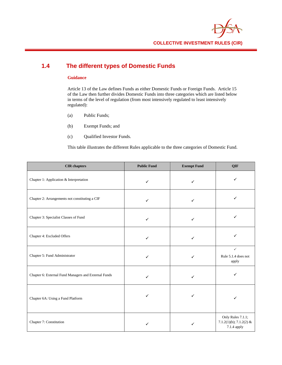

## **1.4 The different types of Domestic Funds**

#### **Guidance**

Article 13 of the Law defines Funds as either Domestic Funds or Foreign Funds. Article 15 of the Law then further divides Domestic Funds into three categories which are listed below in terms of the level of regulation (from most intensively regulated to least intensively regulated):

- (a) Public Funds;
- (b) Exempt Funds; and
- (c) Qualified Investor Funds.

This table illustrates the different Rules applicable to the three categories of Domestic Fund.

| <b>CIR</b> chapters                                  | <b>Public Fund</b> | <b>Exempt Fund</b> | QIF                                                         |
|------------------------------------------------------|--------------------|--------------------|-------------------------------------------------------------|
| Chapter 1: Application & Interpretation              | $\checkmark$       | $\checkmark$       | ✓                                                           |
| Chapter 2: Arrangements not constituting a CIF       | $\checkmark$       | ✓                  |                                                             |
| Chapter 3: Specialist Classes of Fund                | ✓                  | ✓                  | ✓                                                           |
| Chapter 4: Excluded Offers                           | ✓                  | ✓                  | ✓                                                           |
| Chapter 5: Fund Administrator                        | $\checkmark$       | $\checkmark$       | $\checkmark$<br>Rule 5.1.4 does not<br>apply                |
| Chapter 6: External Fund Managers and External Funds | $\checkmark$       | ✓                  | ✓                                                           |
| Chapter 6A: Using a Fund Platform                    |                    | ✓                  |                                                             |
| Chapter 7: Constitution                              |                    | ✓                  | Only Rules 7.1.1;<br>7.1.2(1)(b); 7.1.2(2) &<br>7.1.4 apply |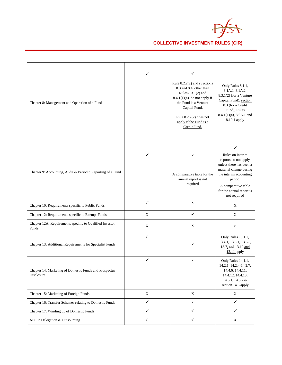

| Chapter 8: Management and Operation of a Fund                        | ✓            | ✓<br>Rule 8.2.2(2) and sSections<br>8.3 and 8.4, other than<br>Rules $8.3.1(2)$ and<br>$8.4.1(1)(a)$ , do not apply if<br>the Fund is a Venture<br>Capital Fund.<br>Rule $8.2.2(2)$ does not<br>apply if the Fund is a<br>Credit Fund. | Only Rules 8.1.1,<br>8.1A.1, 8.1A.2,<br>$8.3.1(2)$ (for a Venture<br>Capital Fund), section<br>8.3 (for a Credit<br>Fund), Rules<br>$8.4.1(1)(a)$ , $8.6A.1$ and<br>8.10.1 apply                           |
|----------------------------------------------------------------------|--------------|----------------------------------------------------------------------------------------------------------------------------------------------------------------------------------------------------------------------------------------|------------------------------------------------------------------------------------------------------------------------------------------------------------------------------------------------------------|
| Chapter 9: Accounting, Audit & Periodic Reporting of a Fund          | ✓            | A comparative table for the<br>annual report is not<br>required                                                                                                                                                                        | ✓<br>Rules on interim<br>reports do not apply<br>unless there has been a<br>material change during<br>the interim accounting<br>period.<br>A comparative table<br>for the annual report is<br>not required |
| Chapter 10: Requirements specific to Public Funds                    |              | $\mathbf X$                                                                                                                                                                                                                            | X                                                                                                                                                                                                          |
| Chapter 12: Requirements specific to Exempt Funds                    | X            | $\checkmark$                                                                                                                                                                                                                           | $\mathbf X$                                                                                                                                                                                                |
| Chapter 12A: Requirements specific to Qualified Investor<br>Funds    | $\mathbf X$  | $\mathbf X$                                                                                                                                                                                                                            | ✓                                                                                                                                                                                                          |
| Chapter 13: Additional Requirements for Specialist Funds             | ✓            | ✓                                                                                                                                                                                                                                      | Only Rules 13.1.1,<br>13.4.1, 13.5.1, 13.6.3,<br>13.7, and 13.10 and<br>13.11 apply                                                                                                                        |
| Chapter 14: Marketing of Domestic Funds and Prospectus<br>Disclosure | ✓            | ✓                                                                                                                                                                                                                                      | Only Rules 14.1.1,<br>14.2.1, 14.2.4-14.2.7,<br>14.4.6, 14.4.11,<br>14.4.12, 14.4.13,<br>14.5.1, 14.5.2 &<br>section 14.6 apply                                                                            |
| Chapter 15: Marketing of Foreign Funds                               | $\mathbf X$  | $\mathbf X$                                                                                                                                                                                                                            | X                                                                                                                                                                                                          |
| Chapter 16: Transfer Schemes relating to Domestic Funds              | $\checkmark$ | $\checkmark$                                                                                                                                                                                                                           | $\checkmark$                                                                                                                                                                                               |
| Chapter 17: Winding up of Domestic Funds                             | $\checkmark$ | ✓                                                                                                                                                                                                                                      | ✓                                                                                                                                                                                                          |
| APP 1: Delegation & Outsourcing                                      | $\checkmark$ | $\checkmark$                                                                                                                                                                                                                           | $\mathbf X$                                                                                                                                                                                                |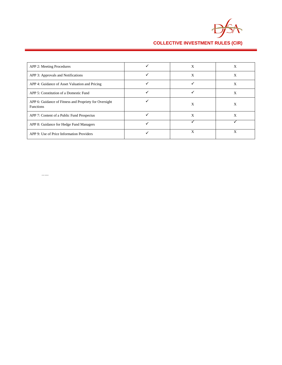

**COLLECTIVE INVESTMENT RULES (CIR)**

| APP 2: Meeting Procedures                                                  | Х | X |
|----------------------------------------------------------------------------|---|---|
| APP 3: Approvals and Notifications                                         | X | X |
| APP 4: Guidance of Asset Valuation and Pricing                             |   | X |
| APP 5: Constitution of a Domestic Fund                                     |   | Х |
| APP 6: Guidance of Fitness and Propriety for Oversight<br><b>Functions</b> | X | X |
| APP 7: Content of a Public Fund Prospectus                                 | X | X |
| APP 8: Guidance for Hedge Fund Managers                                    |   |   |
| APP 9: Use of Price Information Providers                                  | X | X |

…..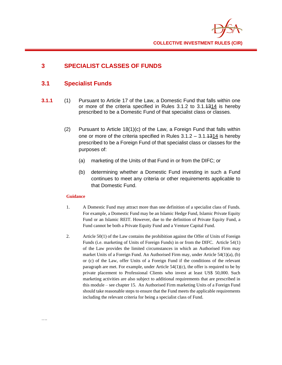

## **3 SPECIALIST CLASSES OF FUNDS**

## **3.1 Specialist Funds**

- **3.1.1** (1) Pursuant to Article 17 of the Law, a Domestic Fund that falls within one or more of the criteria specified in Rules 3.1.2 to 3.1.1314 is hereby prescribed to be a Domestic Fund of that specialist class or classes.
	- (2) Pursuant to Article 18(1)(c) of the Law, a Foreign Fund that falls within one or more of the criteria specified in Rules  $3.1.2 - 3.1.4314$  is hereby prescribed to be a Foreign Fund of that specialist class or classes for the purposes of:
		- (a) marketing of the Units of that Fund in or from the DIFC; or
		- (b) determining whether a Domestic Fund investing in such a Fund continues to meet any criteria or other requirements applicable to that Domestic Fund.

- 1. A Domestic Fund may attract more than one definition of a specialist class of Funds. For example, a Domestic Fund may be an Islamic Hedge Fund, Islamic Private Equity Fund or an Islamic REIT. However, due to the definition of Private Equity Fund, a Fund cannot be both a Private Equity Fund and a Venture Capital Fund.
- 2. Article 50(1) of the Law contains the prohibition against the Offer of Units of Foreign Funds (i.e. marketing of Units of Foreign Funds) in or from the DIFC. Article 54(1) of the Law provides the limited circumstances in which an Authorised Firm may market Units of a Foreign Fund. An Authorised Firm may, under Article 54(1)(a), (b) or (c) of the Law, offer Units of a Foreign Fund if the conditions of the relevant paragraph are met. For example, under Article 54(1)(c), the offer is required to be by private placement to Professional Clients who invest at least US\$ 50,000. Such marketing activities are also subject to additional requirements that are prescribed in this module – see chapter 15. An Authorised Firm marketing Units of a Foreign Fund should take reasonable steps to ensure that the Fund meets the applicable requirements including the relevant criteria for being a specialist class of Fund.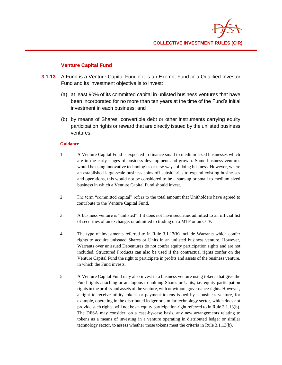

#### **Venture Capital Fund**

- **3.1.13** A Fund is a Venture Capital Fund if it is an Exempt Fund or a Qualified Investor Fund and its investment objective is to invest:
	- (a) at least 90% of its committed capital in unlisted business ventures that have been incorporated for no more than ten years at the time of the Fund's initial investment in each business; and
	- (b) by means of Shares, convertible debt or other instruments carrying equity participation rights or reward that are directly issued by the unlisted business ventures.

- 1. A Venture Capital Fund is expected to finance small to medium sized businesses which are in the early stages of business development and growth. Some business ventures would be using innovative technologies or new ways of doing business. However, where an established large-scale business spins off subsidiaries to expand existing businesses and operations, this would not be considered to be a start-up or small to medium sized business in which a Venture Capital Fund should invest.
- 2. The term "committed capital" refers to the total amount that Unitholders have agreed to contribute to the Venture Capital Fund.
- 3. A business venture is "unlisted" if it does not have securities admitted to an official list of securities of an exchange, or admitted to trading on a MTF or an OTF.
- 4. The type of investments referred to in Rule 3.1.13(b) include Warrants which confer rights to acquire unissued Shares or Units in an unlisted business venture. However, Warrants over unissued Debentures do not confer equity participation rights and are not included. Structured Products can also be used if the contractual rights confer on the Venture Capital Fund the right to participate in profits and assets of the business venture, in which the Fund invests.
- 5. A Venture Capital Fund may also invest in a business venture using tokens that give the Fund rights attaching or analogous to holding Shares or Units, i.e. equity participation rights in the profits and assets of the venture, with or without governance rights. However, a right to receive utility tokens or payment tokens issued by a business venture, for example, operating in the distributed ledger or similar technology sector, which does not provide such rights, will not be an equity participation right referred to in Rule 3.1.13(b). The DFSA may consider, on a case-by-case basis, any new arrangements relating to tokens as a means of investing in a venture operating in distributed ledger or similar technology sector, to assess whether those tokens meet the criteria in Rule 3.1.13(b).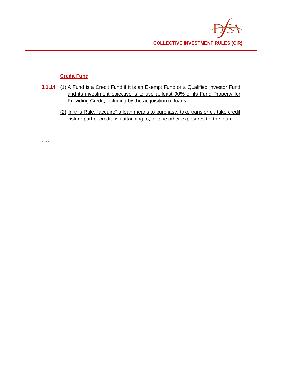

## **Credit Fund**

……

- **3.1.14** (1) A Fund is a Credit Fund if it is an Exempt Fund or a Qualified Investor Fund and its investment objective is to use at least 90% of its Fund Property for Providing Credit, including by the acquisition of loans.
	- (2) In this Rule, "acquire" a loan means to purchase, take transfer of, take credit risk or part of credit risk attaching to, or take other exposures to, the loan.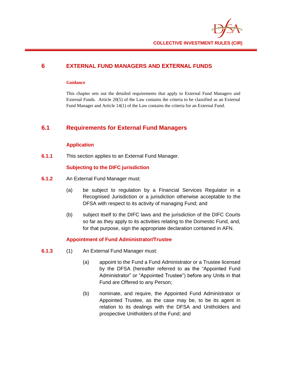

#### **6 EXTERNAL FUND MANAGERS AND EXTERNAL FUNDS**

#### **Guidance**

This chapter sets out the detailed requirements that apply to External Fund Managers and External Funds. Article 20(5) of the Law contains the criteria to be classified as an External Fund Manager and Article 14(1) of the Law contains the criteria for an External Fund.

## **6.1 Requirements for External Fund Managers**

#### **Application**

**6.1.1** This section applies to an External Fund Manager.

#### **Subjecting to the DIFC jurisdiction**

- **6.1.2** An External Fund Manager must:
	- (a) be subject to regulation by a Financial Services Regulator in a Recognised Jurisdiction or a jurisdiction otherwise acceptable to the DFSA with respect to its activity of managing Fund; and
	- (b) subject itself to the DIFC laws and the jurisdiction of the DIFC Courts so far as they apply to its activities relating to the Domestic Fund, and, for that purpose, sign the appropriate declaration contained in AFN.

#### **Appointment of Fund Administrator/Trustee**

- **6.1.3** (1) An External Fund Manager must:
	- (a) appoint to the Fund a Fund Administrator or a Trustee licensed by the DFSA (hereafter referred to as the "Appointed Fund Administrator" or "Appointed Trustee") before any Units in that Fund are Offered to any Person;
	- (b) nominate, and require, the Appointed Fund Administrator or Appointed Trustee, as the case may be, to be its agent in relation to its dealings with the DFSA and Unitholders and prospective Unitholders of the Fund; and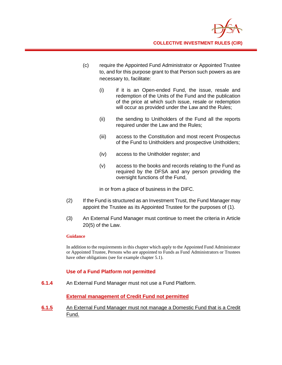

- (c) require the Appointed Fund Administrator or Appointed Trustee to, and for this purpose grant to that Person such powers as are necessary to, facilitate:
	- (i) if it is an Open-ended Fund, the issue, resale and redemption of the Units of the Fund and the publication of the price at which such issue, resale or redemption will occur as provided under the Law and the Rules;
	- (ii) the sending to Unitholders of the Fund all the reports required under the Law and the Rules;
	- (iii) access to the Constitution and most recent Prospectus of the Fund to Unitholders and prospective Unitholders;
	- (iv) access to the Unitholder register; and
	- (v) access to the books and records relating to the Fund as required by the DFSA and any person providing the oversight functions of the Fund,

in or from a place of business in the DIFC.

- (2) If the Fund is structured as an Investment Trust, the Fund Manager may appoint the Trustee as its Appointed Trustee for the purposes of (1).
- (3) An External Fund Manager must continue to meet the criteria in Article 20(5) of the Law.

#### **Guidance**

In addition to the requirements in this chapter which apply to the Appointed Fund Administrator or Appointed Trustee, Persons who are appointed to Funds as Fund Administrators or Trustees have other obligations (see for example chapter 5.1).

#### **Use of a Fund Platform not permitted**

**6.1.4** An External Fund Manager must not use a Fund Platform.

#### **External management of Credit Fund not permitted**

**6.1.5** An External Fund Manager must not manage a Domestic Fund that is a Credit Fund.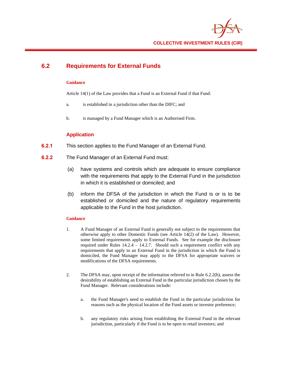

## **6.2 Requirements for External Funds**

#### **Guidance**

Article 14(1) of the Law provides that a Fund is an External Fund if that Fund:

- a. is established in a jurisdiction other than the DIFC; and
- b. is managed by a Fund Manager which is an Authorised Firm.

#### **Application**

- **6.2.1** This section applies to the Fund Manager of an External Fund.
- **6.2.2** The Fund Manager of an External Fund must:
	- (a) have systems and controls which are adequate to ensure compliance with the requirements that apply to the External Fund in the jurisdiction in which it is established or domiciled; and
	- (b) inform the DFSA of the jurisdiction in which the Fund is or is to be established or domiciled and the nature of regulatory requirements applicable to the Fund in the host jurisdiction.

- 1. A Fund Manager of an External Fund is generally not subject to the requirements that otherwise apply to other Domestic Funds (see Article 14(2) of the Law). However, some limited requirements apply to External Funds. See for example the disclosure required under Rules  $14.2.4 - 14.2.7$ . Should such a requirement conflict with any requirements that apply to an External Fund in the jurisdiction in which the Fund is domiciled, the Fund Manager may apply to the DFSA for appropriate waivers or modifications of the DFSA requirements.
- 2. The DFSA may, upon receipt of the information referred to in Rule 6.2.2(b), assess the desirability of establishing an External Fund in the particular jurisdiction chosen by the Fund Manager. Relevant considerations include:
	- a. the Fund Manager's need to establish the Fund in the particular jurisdiction for reasons such as the physical location of the Fund assets or investor preference;
	- b. any regulatory risks arising from establishing the External Fund in the relevant jurisdiction, particularly if the Fund is to be open to retail investors; and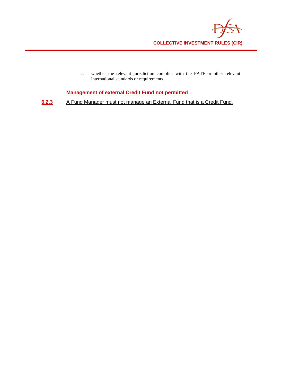

c. whether the relevant jurisdiction complies with the FATF or other relevant international standards or requirements.

**Management of external Credit Fund not permitted**

**6.2.3** A Fund Manager must not manage an External Fund that is a Credit Fund.

…..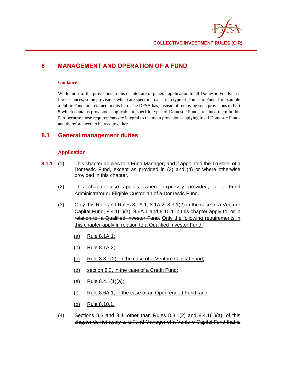

## **8 MANAGEMENT AND OPERATION OF A FUND**

#### **Guidance**

While most of the provisions in this chapter are of general application to all Domestic Funds, in a few instances, some provisions which are specific to a certain type of Domestic Fund, for example a Public Fund, are retained in this Part. The DFSA has, instead of removing such provisions to Part 5 which contains provisions applicable to specific types of Domestic Funds, retained them in this Part because those requirements are integral to the main provisions applying to all Domestic Funds and therefore need to be read together.

#### **8.1 General management duties**

#### **Application**

- **8.1.1** (1) This chapter applies to a Fund Manager, and if appointed the Trustee, of a Domestic Fund, except as provided in (3) and (4) or where otherwise provided in this chapter.
	- (2) This chapter also applies, where expressly provided, to a Fund Administrator or Eligible Custodian of a Domestic Fund.
	- $(3)$  Only this Rule and Rules 8.1A.1, 8.1A.2, 8.3.1(2) in the case of a Venture Capital Fund, 8.4.1(1)(a), 8.6A.1 and 8.10.1 in this chapter apply to, or in relation to, a Qualified Investor Fund. Only the following requirements in this chapter apply in relation to a Qualified Investor Fund:
		- (a) Rule 8.1A.1;
		- (b) Rule 8.1A.2;
		- (c) Rule 8.3.1(2), in the case of a Venture Capital Fund;
		- (d) section 8.3, in the case of a Credit Fund;
		- (e) Rule 8.4.1(1)(a);
		- (f) Rule 8.6A.1, in the case of an Open-ended Fund; and
		- (g) Rule 8.10.1.
	- $(4)$  Sections 8.3 and 8.4, other than Rules 8.3.1(2) and 8.4.1(1)(a), of this chapter do not apply to a Fund Manager of a Venture Capital Fund that is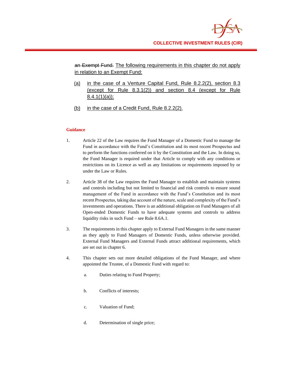an Exempt Fund. The following requirements in this chapter do not apply in relation to an Exempt Fund:

- (a) in the case of a Venture Capital Fund, Rule 8.2.2(2), section 8.3 (except for Rule 8.3.1(2)) and section 8.4 (except for Rule 8.4.1(1)(a));
- (b) in the case of a Credit Fund, Rule 8.2.2(2).

- 1. Article 22 of the Law requires the Fund Manager of a Domestic Fund to manage the Fund in accordance with the Fund's Constitution and its most recent Prospectus and to perform the functions conferred on it by the Constitution and the Law. In doing so, the Fund Manager is required under that Article to comply with any conditions or restrictions on its Licence as well as any limitations or requirements imposed by or under the Law or Rules.
- 2. Article 38 of the Law requires the Fund Manager to establish and maintain systems and controls including but not limited to financial and risk controls to ensure sound management of the Fund in accordance with the Fund's Constitution and its most recent Prospectus, taking due account of the nature, scale and complexity of the Fund's investments and operations. There is an additional obligation on Fund Managers of all Open-ended Domestic Funds to have adequate systems and controls to address liquidity risks in such Fund – see Rule 8.6A.1.
- 3. The requirements in this chapter apply to External Fund Managers in the same manner as they apply to Fund Managers of Domestic Funds, unless otherwise provided. External Fund Managers and External Funds attract additional requirements, which are set out in chapter 6.
- 4. This chapter sets out more detailed obligations of the Fund Manager, and where appointed the Trustee, of a Domestic Fund with regard to:
	- a. Duties relating to Fund Property;
	- b. Conflicts of interests;
	- c. Valuation of Fund;
	- d. Determination of single price;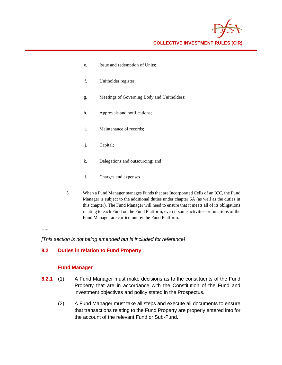- e. Issue and redemption of Units;
- f. Unitholder register;
- g. Meetings of Governing Body and Unitholders;
- h. Approvals and notifications;
- i. Maintenance of records;
- j. Capital;
- k. Delegations and outsourcing; and
- l. Charges and expenses.
- 5. When a Fund Manager manages Funds that are Incorporated Cells of an ICC, the Fund Manager is subject to the additional duties under chapter 6A (as well as the duties in this chapter). The Fund Manager will need to ensure that it meets all of its obligations relating to each Fund on the Fund Platform, even if some activities or functions of the Fund Manager are carried out by the Fund Platform.

…..

*[This section is not being amended but is included for reference]*

#### **8.2 Duties in relation to Fund Property**

#### **Fund Manager**

- **8.2.1** (1) A Fund Manager must make decisions as to the constituents of the Fund Property that are in accordance with the Constitution of the Fund and investment objectives and policy stated in the Prospectus.
	- (2) A Fund Manager must take all steps and execute all documents to ensure that transactions relating to the Fund Property are properly entered into for the account of the relevant Fund or Sub-Fund.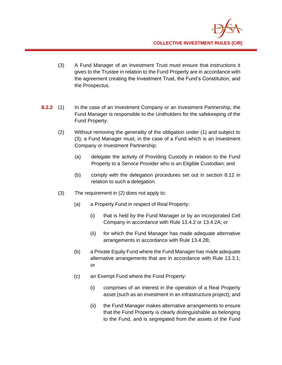

- (3) A Fund Manager of an Investment Trust must ensure that instructions it gives to the Trustee in relation to the Fund Property are in accordance with the agreement creating the Investment Trust, the Fund's Constitution, and the Prospectus.
- **8.2.2** (1) In the case of an Investment Company or an Investment Partnership, the Fund Manager is responsible to the Unitholders for the safekeeping of the Fund Property.
	- (2) Without removing the generality of the obligation under (1) and subject to (3), a Fund Manager must, in the case of a Fund which is an Investment Company or Investment Partnership:
		- (a) delegate the activity of Providing Custody in relation to the Fund Property to a Service Provider who is an Eligible Custodian; and
		- (b) comply with the delegation procedures set out in section 8.12 in relation to such a delegation.
	- (3) The requirement in (2) does not apply to:
		- (a) a Property Fund in respect of Real Property:
			- (i) that is held by the Fund Manager or by an Incorporated Cell Company in accordance with Rule 13.4.2 or 13.4.2A; or
			- (ii) for which the Fund Manager has made adequate alternative arrangements in accordance with Rule 13.4.2B;
		- (b) a Private Equity Fund where the Fund Manager has made adequate alternative arrangements that are in accordance with Rule 13.3.1; or
		- (c) an Exempt Fund where the Fund Property:
			- (i) comprises of an interest in the operation of a Real Property asset (such as an investment in an infrastructure project); and
			- (ii) the Fund Manager makes alternative arrangements to ensure that the Fund Property is clearly distinguishable as belonging to the Fund, and is segregated from the assets of the Fund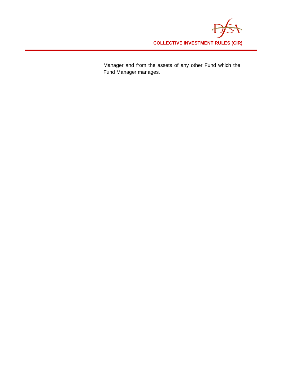

Manager and from the assets of any other Fund which the Fund Manager manages.

 $\dots$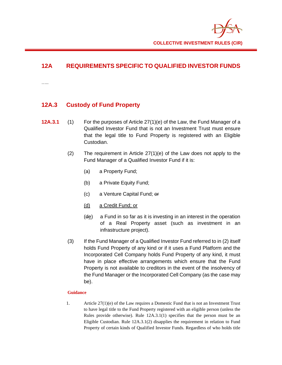## **12A REQUIREMENTS SPECIFIC TO QUALIFIED INVESTOR FUNDS**

…..

## **12A.3 Custody of Fund Property**

- **12A.3.1** (1) For the purposes of Article 27(1)(e) of the Law, the Fund Manager of a Qualified Investor Fund that is not an Investment Trust must ensure that the legal title to Fund Property is registered with an Eligible Custodian.
	- (2) The requirement in Article  $27(1)(e)$  of the Law does not apply to the Fund Manager of a Qualified Investor Fund if it is:
		- (a) a Property Fund;
		- (b) a Private Equity Fund;
		- (c) a Venture Capital Fund; or
		- (d) a Credit Fund; or
		- (de) a Fund in so far as it is investing in an interest in the operation of a Real Property asset (such as investment in an infrastructure project).
	- (3) If the Fund Manager of a Qualified Investor Fund referred to in (2) itself holds Fund Property of any kind or if it uses a Fund Platform and the Incorporated Cell Company holds Fund Property of any kind, it must have in place effective arrangements which ensure that the Fund Property is not available to creditors in the event of the insolvency of the Fund Manager or the Incorporated Cell Company (as the case may be).

#### **Guidance**

1. Article 27(1)(e) of the Law requires a Domestic Fund that is not an Investment Trust to have legal title to the Fund Property registered with an eligible person (unless the Rules provide otherwise). Rule 12A.3.1(1) specifies that the person must be an Eligible Custodian. Rule 12A.3.1(2) disapplies the requirement in relation to Fund Property of certain kinds of Qualified Investor Funds. Regardless of who holds title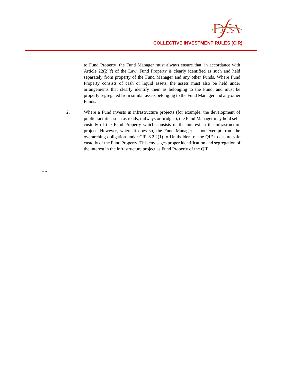

to Fund Property, the Fund Manager must always ensure that, in accordance with Article 22(2)(f) of the Law, Fund Property is clearly identified as such and held separately from property of the Fund Manager and any other Funds. Where Fund Property consists of cash or liquid assets, the assets must also be held under arrangements that clearly identify them as belonging to the Fund, and must be properly segregated from similar assets belonging to the Fund Manager and any other Funds.

2. Where a Fund invests in infrastructure projects (for example, the development of public facilities such as roads, railways or bridges), the Fund Manager may hold selfcustody of the Fund Property which consists of the interest in the infrastructure project. However, where it does so, the Fund Manager is not exempt from the overarching obligation under CIR 8.2.2(1) to Unitholders of the QIF to ensure safe custody of the Fund Property. This envisages proper identification and segregation of the interest in the infrastructure project as Fund Property of the QIF.

…..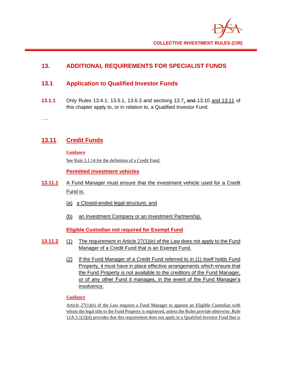## **13. ADDITIONAL REQUIREMENTS FOR SPECIALIST FUNDS**

## **13.1 Application to Qualified Investor Funds**

**13.1.1** Only Rules 13.4.1, 13.5.1, 13.6.3 and sections 13.7, and 13.10 and 13.11 of this chapter apply to, or in relation to, a Qualified Investor Fund.

…..

## **13.11 Credit Funds**

**Guidance**

See Rule 3.1.14 for the definition of a Credit Fund.

**Permitted investment vehicles**

- **13.11.1** A Fund Manager must ensure that the investment vehicle used for a Credit Fund is:
	- (a) a Closed-ended legal structure; and
	- (b) an Investment Company or an Investment Partnership.

**Eligible Custodian not required for Exempt Fund**

- **13.11.2** (1) The requirement in Article 27(1)(e) of the Law does not apply to the Fund Manager of a Credit Fund that is an Exempt Fund.
	- (2) If the Fund Manager of a Credit Fund referred to in (1) itself holds Fund Property, it must have in place effective arrangements which ensure that the Fund Property is not available to the creditors of the Fund Manager, or of any other Fund it manages, in the event of the Fund Manager's insolvency.

#### **Guidance**

Article 27(1)(e) of the Law requires a Fund Manager to appoint an Eligible Custodian with whom the legal title to the Fund Property is registered, unless the Rules provide otherwise. Rule 12A.3.1(2)(d) provides that this requirement does not apply to a Qualified Investor Fund that is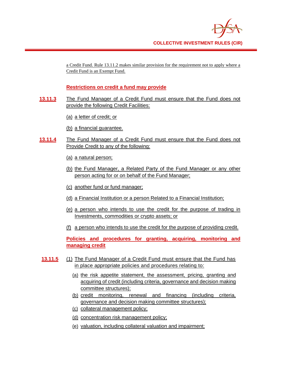a Credit Fund. Rule 13.11.2 makes similar provision for the requirement not to apply where a Credit Fund is an Exempt Fund.

## **Restrictions on credit a fund may provide**

- **13.11.3** The Fund Manager of a Credit Fund must ensure that the Fund does not provide the following Credit Facilities:
	- (a) a letter of credit; or
	- (b) a financial guarantee.
- **13.11.4** The Fund Manager of a Credit Fund must ensure that the Fund does not Provide Credit to any of the following:
	- (a) a natural person;
	- (b) the Fund Manager, a Related Party of the Fund Manager or any other person acting for or on behalf of the Fund Manager;
	- (c) another fund or fund manager;
	- (d) a Financial Institution or a person Related to a Financial Institution;
	- (e) a person who intends to use the credit for the purpose of trading in Investments, commodities or crypto assets; or
	- (f) a person who intends to use the credit for the purpose of providing credit.

**Policies and procedures for granting, acquiring, monitoring and managing credit**

- **13.11.5** (1) The Fund Manager of a Credit Fund must ensure that the Fund has in place appropriate policies and procedures relating to:
	- (a) the risk appetite statement, the assessment, pricing, granting and acquiring of credit (including criteria, governance and decision making committee structures);
	- (b) credit monitoring, renewal and financing (including criteria, governance and decision making committee structures);
	- (c) collateral management policy;
	- (d) concentration risk management policy;
	- (e) valuation, including collateral valuation and impairment;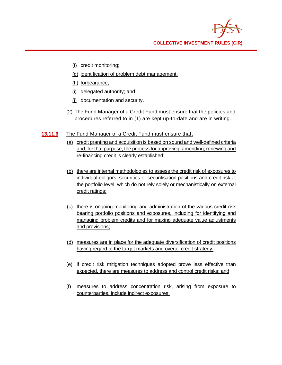

- (f) credit monitoring;
- (g) identification of problem debt management;
- (h) forbearance;
- (i) delegated authority; and
- (j) documentation and security.
- (2) The Fund Manager of a Credit Fund must ensure that the policies and procedures referred to in (1) are kept up-to-date and are in writing.
- **13.11.6** The Fund Manager of a Credit Fund must ensure that:
	- (a) credit granting and acquisition is based on sound and well-defined criteria and, for that purpose, the process for approving, amending, renewing and re-financing credit is clearly established;
	- (b) there are internal methodologies to assess the credit risk of exposures to individual obligors, securities or securitisation positions and credit risk at the portfolio level, which do not rely solely or mechanistically on external credit ratings;
	- (c) there is ongoing monitoring and administration of the various credit risk bearing portfolio positions and exposures, including for identifying and managing problem credits and for making adequate value adjustments and provisions;
	- (d) measures are in place for the adequate diversification of credit positions having regard to the target markets and overall credit strategy;
	- (e) if credit risk mitigation techniques adopted prove less effective than expected, there are measures to address and control credit risks; and
	- (f) measures to address concentration risk, arising from exposure to counterparties, include indirect exposures.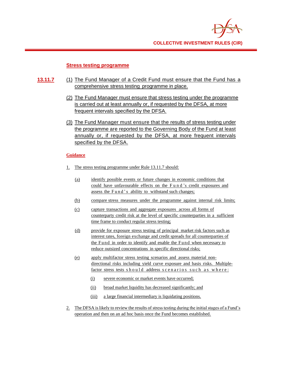

#### **Stress testing programme**

- **13.11.7** (1) The Fund Manager of a Credit Fund must ensure that the Fund has a comprehensive stress testing programme in place.
	- (2) The Fund Manager must ensure that stress testing under the programme is carried out at least annually or, if requested by the DFSA, at more frequent intervals specified by the DFSA.
	- (3) The Fund Manager must ensure that the results of stress testing under the programme are reported to the Governing Body of the Fund at least annually or, if requested by the DFSA, at more frequent intervals specified by the DFSA.

- 1. The stress testing programme under Rule 13.11.7 should:
	- (a) identify possible events or future changes in economic conditions that could have unfavourable effects on the F u n d 's credit exposures and assess the Fund's ability to withstand such changes;
	- (b) compare stress measures under the programme against internal risk limits;
	- (c) capture transactions and aggregate exposures across all forms of counterparty credit risk at the level of specific counterparties in a sufficient time frame to conduct regular stress testing;
	- (d) provide for exposure stress testing of principal market risk factors such as interest rates, foreign exchange and credit spreads for all counterparties of the Fund in order to identify and enable the Fund when necessary to reduce outsized concentrations in specific directional risks;
	- (e) apply multifactor stress testing scenarios and assess material nondirectional risks including yield curve exposure and basis risks. Multiplefactor stress tests should address scenarios such as where:
		- (i) severe economic or market events have occurred;
		- (ii) broad market liquidity has decreased significantly; and
		- (iii) a large financial intermediary is liquidating positions.
- 2. The DFSA is likely to review the results of stress testing during the initial stages of a Fund's operation and then on an ad hoc basis once the Fund becomes established.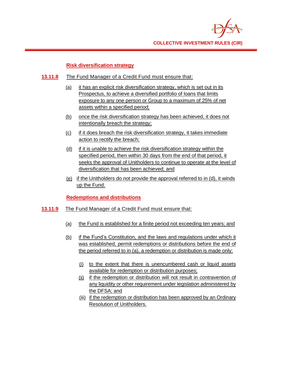

#### **Risk diversification strategy**

- **13.11.8** The Fund Manager of a Credit Fund must ensure that:
	- (a) it has an explicit risk diversification strategy, which is set out in its Prospectus, to achieve a diversified portfolio of loans that limits exposure to any one person or Group to a maximum of 25% of net assets within a specified period;
	- (b) once the risk diversification strategy has been achieved, it does not intentionally breach the strategy;
	- (c) if it does breach the risk diversification strategy, it takes immediate action to rectify the breach;
	- (d) if it is unable to achieve the risk diversification strategy within the specified period, then within 30 days from the end of that period, it seeks the approval of Unitholders to continue to operate at the level of diversification that has been achieved; and
	- (e) if the Unitholders do not provide the approval referred to in (d), it winds up the Fund.

#### **Redemptions and distributions**

#### **13.11.9** The Fund Manager of a Credit Fund must ensure that:

- (a) the Fund is established for a finite period not exceeding ten years; and
- (b) if the Fund's Constitution, and the laws and regulations under which it was established, permit redemptions or distributions before the end of the period referred to in (a), a redemption or distribution is made only:
	- (i) to the extent that there is unencumbered cash or liquid assets available for redemption or distribution purposes;
	- (ii) if the redemption or distribution will not result in contravention of any liquidity or other requirement under legislation administered by the DFSA; and
	- (iii) if the redemption or distribution has been approved by an Ordinary Resolution of Unitholders.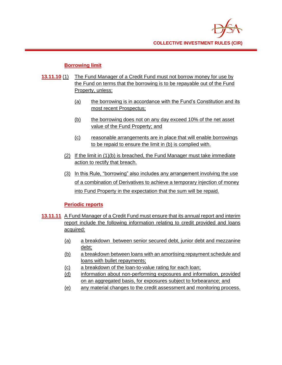

#### **Borrowing limit**

- **13.11.10** (1) The Fund Manager of a Credit Fund must not borrow money for use by the Fund on terms that the borrowing is to be repayable out of the Fund Property, unless:
	- (a) the borrowing is in accordance with the Fund's Constitution and its most recent Prospectus;
	- (b) the borrowing does not on any day exceed 10% of the net asset value of the Fund Property; and
	- (c) reasonable arrangements are in place that will enable borrowings to be repaid to ensure the limit in (b) is complied with.
	- (2) If the limit in (1)(b) is breached, the Fund Manager must take immediate action to rectify that breach.
	- (3) In this Rule, "borrowing" also includes any arrangement involving the use of a combination of Derivatives to achieve a temporary injection of money into Fund Property in the expectation that the sum will be repaid.

#### **Periodic reports**

- **13.11.11** A Fund Manager of a Credit Fund must ensure that its annual report and interim report include the following information relating to credit provided and loans acquired:
	- (a) a breakdown between senior secured debt, junior debt and mezzanine debt;
	- (b) a breakdown between loans with an amortising repayment schedule and loans with bullet repayments;
	- (c) a breakdown of the loan-to-value rating for each loan;
	- (d) information about non-performing exposures and information, provided on an aggregated basis, for exposures subject to forbearance; and
	- (e) any material changes to the credit assessment and monitoring process.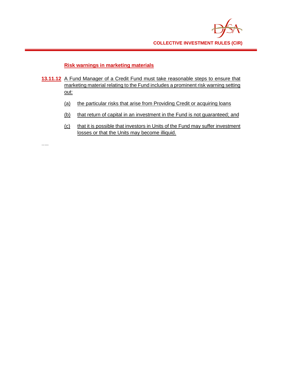

#### **Risk warnings in marketing materials**

- **13.11.12** A Fund Manager of a Credit Fund must take reasonable steps to ensure that marketing material relating to the Fund includes a prominent risk warning setting out:
	- (a) the particular risks that arise from Providing Credit or acquiring loans
	- (b) that return of capital in an investment in the Fund is not guaranteed; and
	- (c) that it is possible that investors in Units of the Fund may suffer investment losses or that the Units may become illiquid.

…..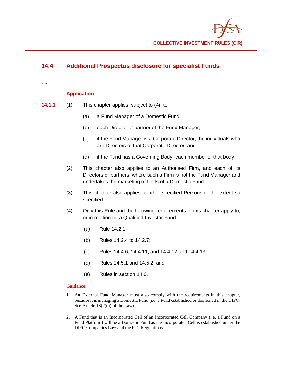## **14.4 Additional Prospectus disclosure for specialist Funds**

…..

#### **Application**

- **14.1.1** (1) This chapter applies, subject to (4), to:
	- (a) a Fund Manager of a Domestic Fund;
	- (b) each Director or partner of the Fund Manager;
	- (c) if the Fund Manager is a Corporate Director, the individuals who are Directors of that Corporate Director; and
	- (d) if the Fund has a Governing Body, each member of that body.
	- (2) This chapter also applies to an Authorised Firm, and each of its Directors or partners, where such a Firm is not the Fund Manager and undertakes the marketing of Units of a Domestic Fund.
	- (3) This chapter also applies to other specified Persons to the extent so specified.
	- (4) Only this Rule and the following requirements in this chapter apply to, or in relation to, a Qualified Investor Fund:
		- (a) Rule 14.2.1;
		- (b) Rules 14.2.4 to 14.2.7;
		- (c) Rules 14.4.6, 14.4.11, and 14.4.12 and 14.4.13;
		- (d) Rules 14.5.1 and 14.5.2; and
		- (e) Rules in section 14.6.

- 1. An External Fund Manager must also comply with the requirements in this chapter, because it is managing a Domestic Fund (i.e. a Fund established or domiciled in the DIFC-See Article 13(2)(a) of the Law).
- 2. A Fund that is an Incorporated Cell of an Incorporated Cell Company (i.e. a Fund on a Fund Platform) will be a Domestic Fund as the Incorporated Cell is established under the DIFC Companies Law and the ICC Regulations.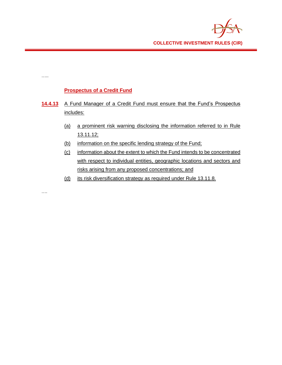## **Prospectus of a Credit Fund**

…..

….

- 14.4.13 A Fund Manager of a Credit Fund must ensure that the Fund's Prospectus includes:
	- (a) a prominent risk warning disclosing the information referred to in Rule 13.11.12;
	- (b) information on the specific lending strategy of the Fund;
	- (c) information about the extent to which the Fund intends to be concentrated with respect to individual entities, geographic locations and sectors and risks arising from any proposed concentrations; and
	- (d) its risk diversification strategy as required under Rule 13.11.8.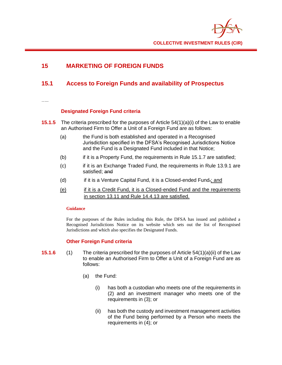## **15 MARKETING OF FOREIGN FUNDS**

## **15.1 Access to Foreign Funds and availability of Prospectus**

……

### **Designated Foreign Fund criteria**

- **15.1.5** The criteria prescribed for the purposes of Article 54(1)(a)(i) of the Law to enable an Authorised Firm to Offer a Unit of a Foreign Fund are as follows:
	- (a) the Fund is both established and operated in a Recognised Jurisdiction specified in the DFSA's Recognised Jurisdictions Notice and the Fund is a Designated Fund included in that Notice;
	- (b) if it is a Property Fund, the requirements in Rule 15.1.7 are satisfied;
	- (c) if it is an Exchange Traded Fund, the requirements in Rule 13.9.1 are satisfied; and
	- (d) if it is a Venture Capital Fund, it is a Closed-ended Fund.; and
	- (e) if it is a Credit Fund, it is a Closed-ended Fund and the requirements in section 13.11 and Rule 14.4.13 are satisfied.

#### **Guidance**

For the purposes of the Rules including this Rule, the DFSA has issued and published a Recognised Jurisdictions Notice on its website which sets out the list of Recognised Jurisdictions and which also specifies the Designated Funds.

### **Other Foreign Fund criteria**

- **15.1.6** (1) The criteria prescribed for the purposes of Article 54(1)(a)(ii) of the Law to enable an Authorised Firm to Offer a Unit of a Foreign Fund are as follows:
	- (a) the Fund:
		- (i) has both a custodian who meets one of the requirements in (2) and an investment manager who meets one of the requirements in (3); or
		- (ii) has both the custody and investment management activities of the Fund being performed by a Person who meets the requirements in (4); or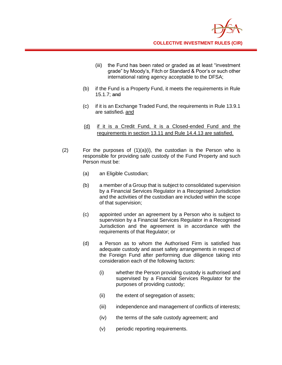- (iii) the Fund has been rated or graded as at least "investment grade" by Moody's, Fitch or Standard & Poor's or such other international rating agency acceptable to the DFSA;
- (b) if the Fund is a Property Fund, it meets the requirements in Rule 15.1.7; and
- (c) if it is an Exchange Traded Fund, the requirements in Rule 13.9.1 are satisfied. and
- (d) if it is a Credit Fund, it is a Closed-ended Fund and the requirements in section 13.11 and Rule 14.4.13 are satisfied.
- (2) For the purposes of  $(1)(a)(i)$ , the custodian is the Person who is responsible for providing safe custody of the Fund Property and such Person must be:
	- (a) an Eligible Custodian;
	- (b) a member of a Group that is subject to consolidated supervision by a Financial Services Regulator in a Recognised Jurisdiction and the activities of the custodian are included within the scope of that supervision;
	- (c) appointed under an agreement by a Person who is subject to supervision by a Financial Services Regulator in a Recognised Jurisdiction and the agreement is in accordance with the requirements of that Regulator; or
	- (d) a Person as to whom the Authorised Firm is satisfied has adequate custody and asset safety arrangements in respect of the Foreign Fund after performing due diligence taking into consideration each of the following factors:
		- (i) whether the Person providing custody is authorised and supervised by a Financial Services Regulator for the purposes of providing custody;
		- (ii) the extent of segregation of assets;
		- (iii) independence and management of conflicts of interests;
		- (iv) the terms of the safe custody agreement; and
		- (v) periodic reporting requirements.